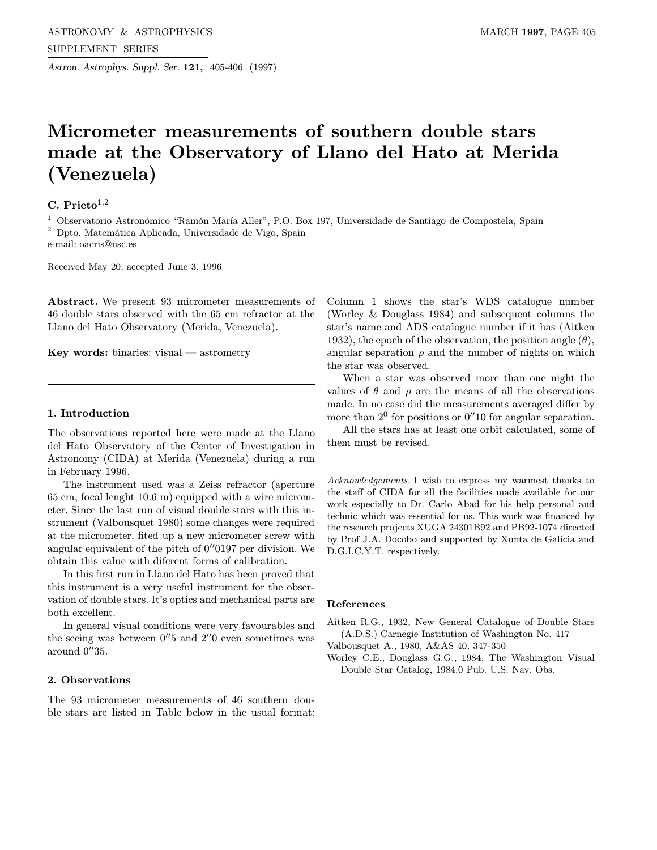Astron. Astrophys. Suppl. Ser. 121, 405-406 (1997)

# Micrometer measurements of southern double stars made at the Observatory of Llano del Hato at Merida (Venezuela)

## C. Prieto $^{1,2}$

 $^{\rm 1}$  Observatorio Astronómico "Ramón María Aller", P.O. Box 197, Universidade de Santiago de Compostela, Spain

<sup>2</sup> Dpto. Matemática Aplicada, Universidade de Vigo, Spain

e-mail: oacris@usc.es

Received May 20; accepted June 3, 1996

Abstract. We present 93 micrometer measurements of 46 double stars observed with the 65 cm refractor at the Llano del Hato Observatory (Merida, Venezuela).

Key words: binaries: visual — astrometry

#### 1. Introduction

The observations reported here were made at the Llano del Hato Observatory of the Center of Investigation in Astronomy (CIDA) at Merida (Venezuela) during a run in February 1996.

The instrument used was a Zeiss refractor (aperture 65 cm, focal lenght 10.6 m) equipped with a wire micrometer. Since the last run of visual double stars with this instrument (Valbousquet 1980) some changes were required at the micrometer, fited up a new micrometer screw with angular equivalent of the pitch of  $0''0197$  per division. We obtain this value with diferent forms of calibration.

In this first run in Llano del Hato has been proved that this instrument is a very useful instrument for the observation of double stars. It's optics and mechanical parts are both excellent.

In general visual conditions were very favourables and the seeing was between  $0''5$  and  $2''0$  even sometimes was around  $0''35$ .

### 2. Observations

The 93 micrometer measurements of 46 southern double stars are listed in Table below in the usual format:

Column 1 shows the star's WDS catalogue number (Worley & Douglass 1984) and subsequent columns the star's name and ADS catalogue number if it has (Aitken 1932), the epoch of the observation, the position angle  $(\theta)$ , angular separation  $\rho$  and the number of nights on which the star was observed.

When a star was observed more than one night the values of  $\theta$  and  $\rho$  are the means of all the observations made. In no case did the measurements averaged differ by more than  $2^0$  for positions or  $0''10$  for angular separation.

All the stars has at least one orbit calculated, some of them must be revised.

Acknowledgements. I wish to express my warmest thanks to the staff of CIDA for all the facilities made available for our work especially to Dr. Carlo Abad for his help personal and technic which was essential for us. This work was financed by the research projects XUGA 24301B92 and PB92-1074 directed by Prof J.A. Docobo and supported by Xunta de Galicia and D.G.I.C.Y.T. respectively.

#### References

Aitken R.G., 1932, New General Catalogue of Double Stars (A.D.S.) Carnegie Institution of Washington No. 417

- Valbousquet A., 1980, A&AS 40, 347-350
- Worley C.E., Douglass G.G., 1984, The Washington Visual Double Star Catalog, 1984.0 Pub. U.S. Nav. Obs.